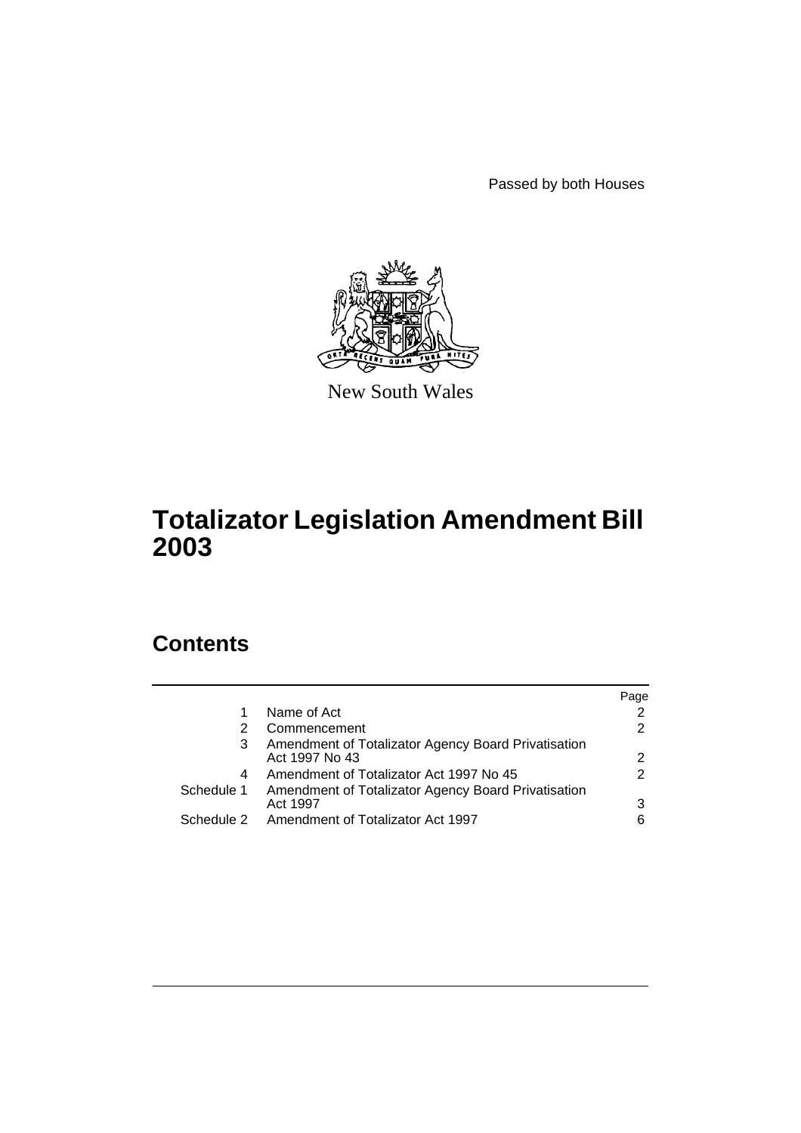Passed by both Houses



New South Wales

# **Totalizator Legislation Amendment Bill 2003**

# **Contents**

|            |                                                                       | Page |
|------------|-----------------------------------------------------------------------|------|
|            | Name of Act                                                           |      |
| 2          | Commencement                                                          |      |
| 3          | Amendment of Totalizator Agency Board Privatisation<br>Act 1997 No 43 |      |
| 4          | Amendment of Totalizator Act 1997 No 45                               | 2    |
| Schedule 1 | Amendment of Totalizator Agency Board Privatisation<br>Act 1997       |      |
| Schedule 2 | Amendment of Totalizator Act 1997                                     |      |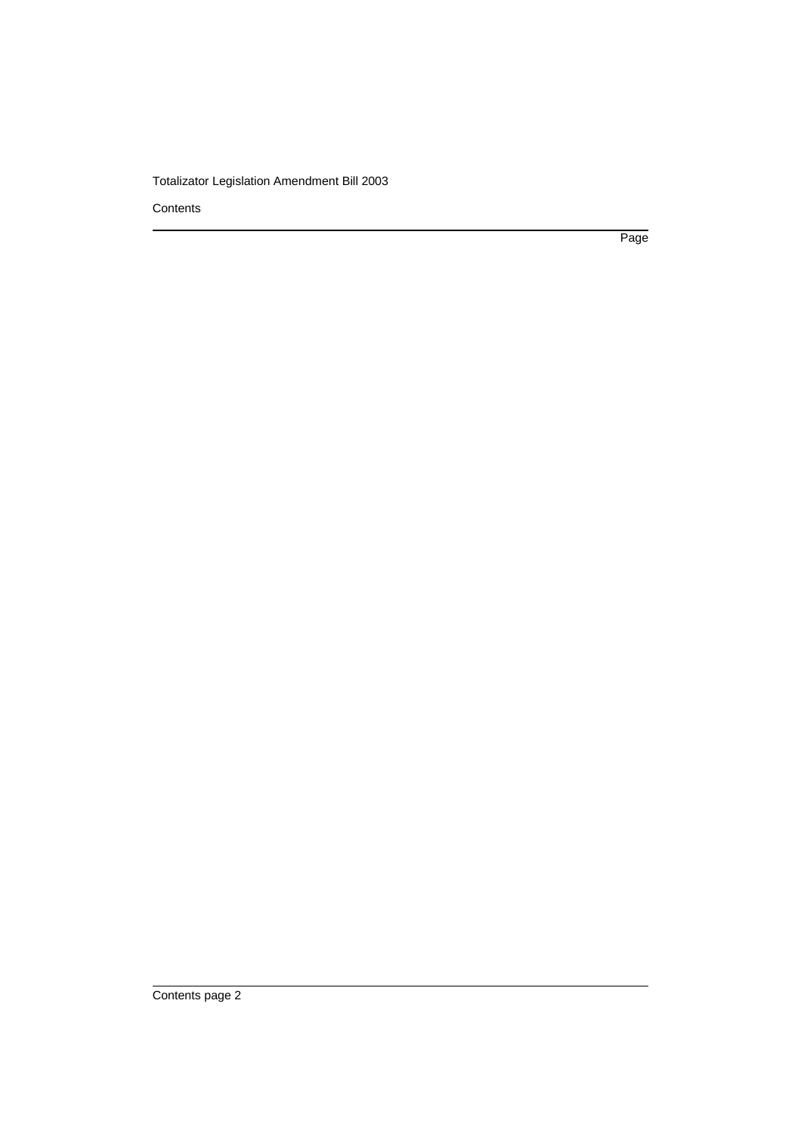**Contents** 

Page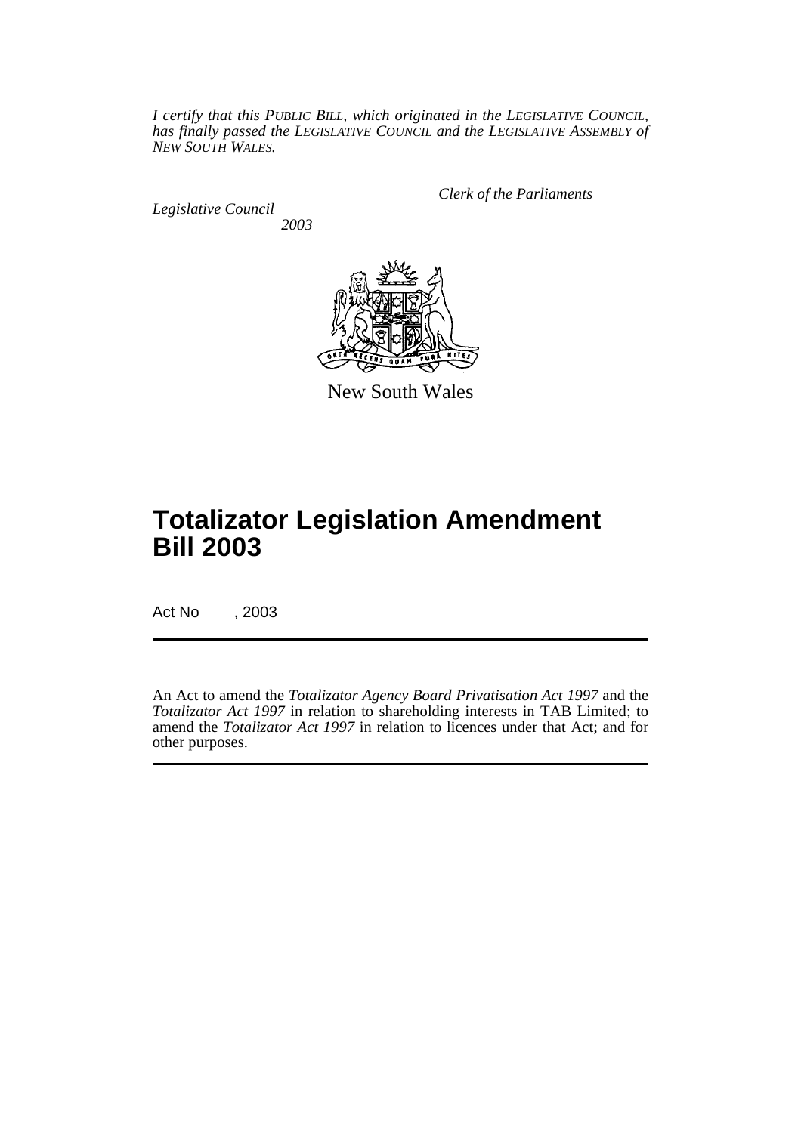*I certify that this PUBLIC BILL, which originated in the LEGISLATIVE COUNCIL, has finally passed the LEGISLATIVE COUNCIL and the LEGISLATIVE ASSEMBLY of NEW SOUTH WALES.*

*Legislative Council 2003* *Clerk of the Parliaments*



New South Wales

# **Totalizator Legislation Amendment Bill 2003**

Act No , 2003

An Act to amend the *Totalizator Agency Board Privatisation Act 1997* and the *Totalizator Act 1997* in relation to shareholding interests in TAB Limited; to amend the *Totalizator Act 1997* in relation to licences under that Act; and for other purposes.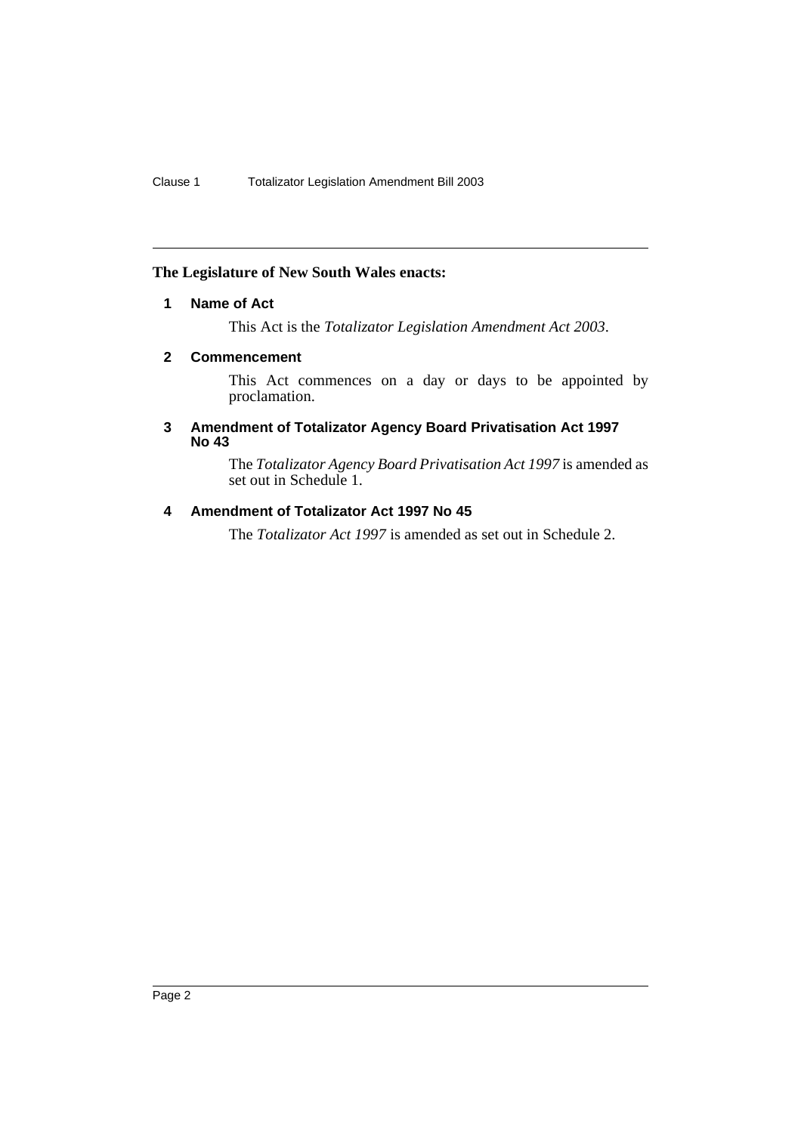# **The Legislature of New South Wales enacts:**

# **1 Name of Act**

This Act is the *Totalizator Legislation Amendment Act 2003*.

## **2 Commencement**

This Act commences on a day or days to be appointed by proclamation.

## **3 Amendment of Totalizator Agency Board Privatisation Act 1997 No 43**

The *Totalizator Agency Board Privatisation Act 1997* is amended as set out in Schedule 1.

## **4 Amendment of Totalizator Act 1997 No 45**

The *Totalizator Act 1997* is amended as set out in Schedule 2.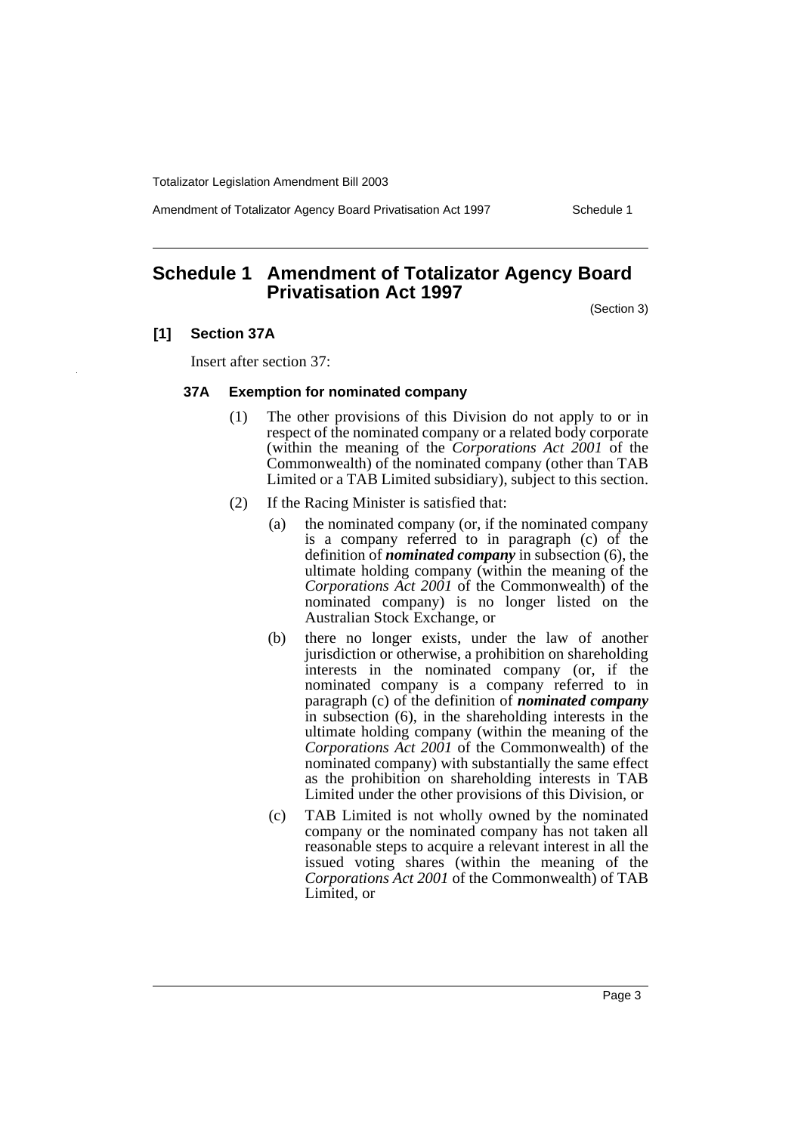Amendment of Totalizator Agency Board Privatisation Act 1997 Schedule 1

# **Schedule 1 Amendment of Totalizator Agency Board Privatisation Act 1997**

(Section 3)

### **[1] Section 37A**

Insert after section 37:

#### **37A Exemption for nominated company**

- (1) The other provisions of this Division do not apply to or in respect of the nominated company or a related body corporate (within the meaning of the *Corporations Act 2001* of the Commonwealth) of the nominated company (other than TAB Limited or a TAB Limited subsidiary), subject to this section.
- (2) If the Racing Minister is satisfied that:
	- (a) the nominated company (or, if the nominated company is a company referred to in paragraph (c) of the definition of *nominated company* in subsection (6), the ultimate holding company (within the meaning of the *Corporations Act 2001* of the Commonwealth) of the nominated company) is no longer listed on the Australian Stock Exchange, or
	- (b) there no longer exists, under the law of another jurisdiction or otherwise, a prohibition on shareholding interests in the nominated company (or, if the nominated company is a company referred to in paragraph (c) of the definition of *nominated company* in subsection (6), in the shareholding interests in the ultimate holding company (within the meaning of the *Corporations Act 2001* of the Commonwealth) of the nominated company) with substantially the same effect as the prohibition on shareholding interests in TAB Limited under the other provisions of this Division, or
	- (c) TAB Limited is not wholly owned by the nominated company or the nominated company has not taken all reasonable steps to acquire a relevant interest in all the issued voting shares (within the meaning of the *Corporations Act 2001* of the Commonwealth) of TAB Limited, or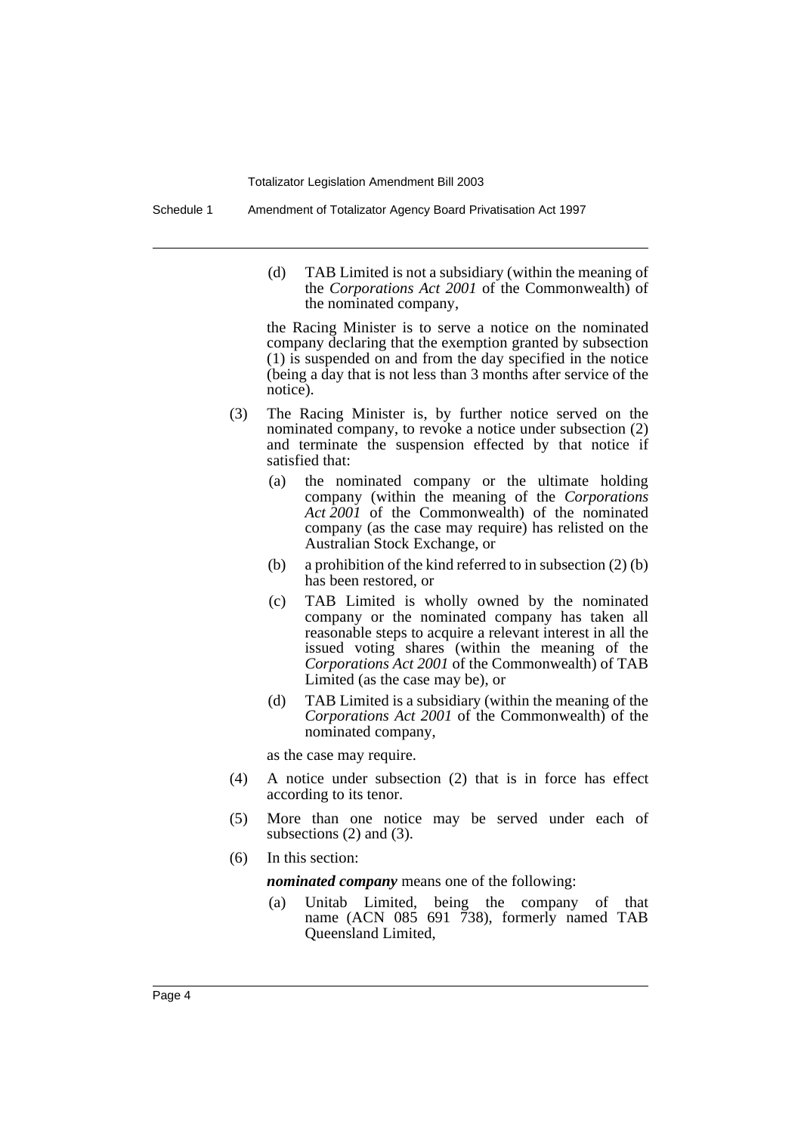Schedule 1 Amendment of Totalizator Agency Board Privatisation Act 1997

(d) TAB Limited is not a subsidiary (within the meaning of the *Corporations Act 2001* of the Commonwealth) of the nominated company,

the Racing Minister is to serve a notice on the nominated company declaring that the exemption granted by subsection (1) is suspended on and from the day specified in the notice (being a day that is not less than 3 months after service of the notice).

- (3) The Racing Minister is, by further notice served on the nominated company, to revoke a notice under subsection (2) and terminate the suspension effected by that notice if satisfied that:
	- (a) the nominated company or the ultimate holding company (within the meaning of the *Corporations Act 2001* of the Commonwealth) of the nominated company (as the case may require) has relisted on the Australian Stock Exchange, or
	- (b) a prohibition of the kind referred to in subsection (2) (b) has been restored, or
	- (c) TAB Limited is wholly owned by the nominated company or the nominated company has taken all reasonable steps to acquire a relevant interest in all the issued voting shares (within the meaning of the *Corporations Act 2001* of the Commonwealth) of TAB Limited (as the case may be), or
	- (d) TAB Limited is a subsidiary (within the meaning of the *Corporations Act 2001* of the Commonwealth) of the nominated company,

as the case may require.

- (4) A notice under subsection (2) that is in force has effect according to its tenor.
- (5) More than one notice may be served under each of subsections (2) and (3).
- (6) In this section:

*nominated company* means one of the following:

(a) Unitab Limited, being the company of that name (ACN 085 691 738), formerly named TAB Queensland Limited,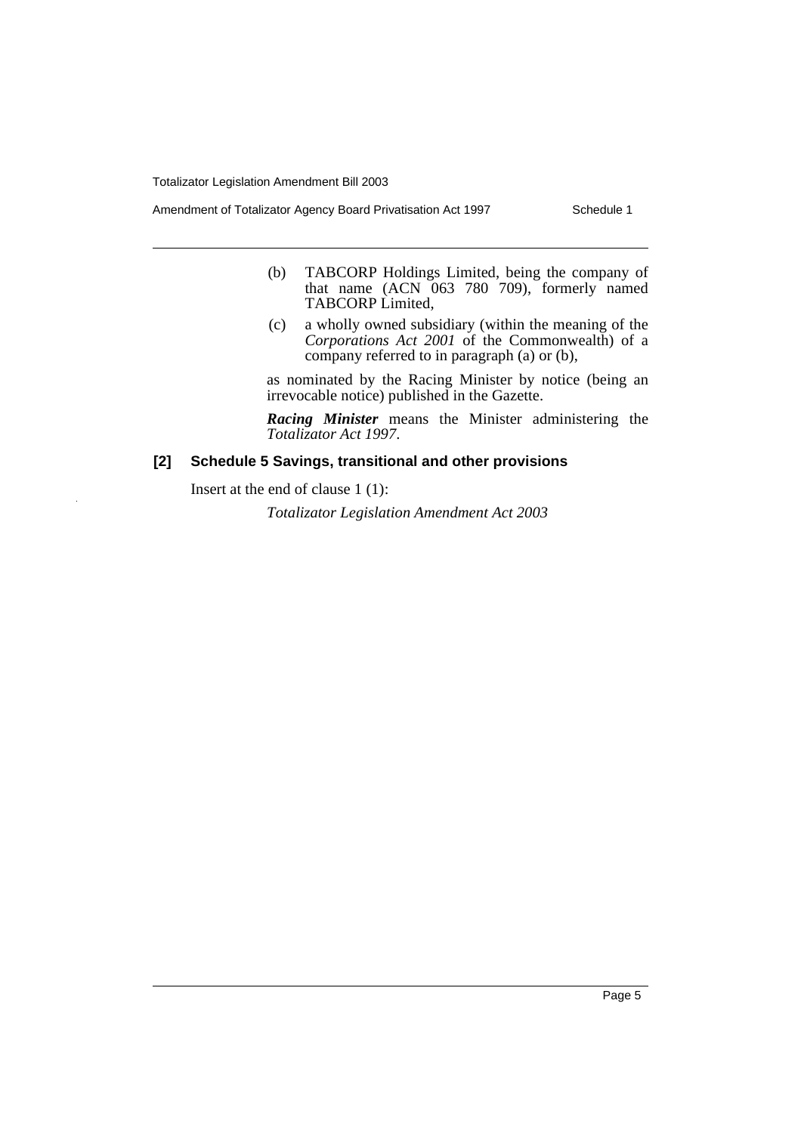- Amendment of Totalizator Agency Board Privatisation Act 1997 Schedule 1
	- (b) TABCORP Holdings Limited, being the company of that name (ACN 063 780 709), formerly named TABCORP Limited,
	- (c) a wholly owned subsidiary (within the meaning of the *Corporations Act 2001* of the Commonwealth) of a company referred to in paragraph (a) or (b),

as nominated by the Racing Minister by notice (being an irrevocable notice) published in the Gazette.

*Racing Minister* means the Minister administering the *Totalizator Act 1997*.

### **[2] Schedule 5 Savings, transitional and other provisions**

Insert at the end of clause 1 (1):

*Totalizator Legislation Amendment Act 2003*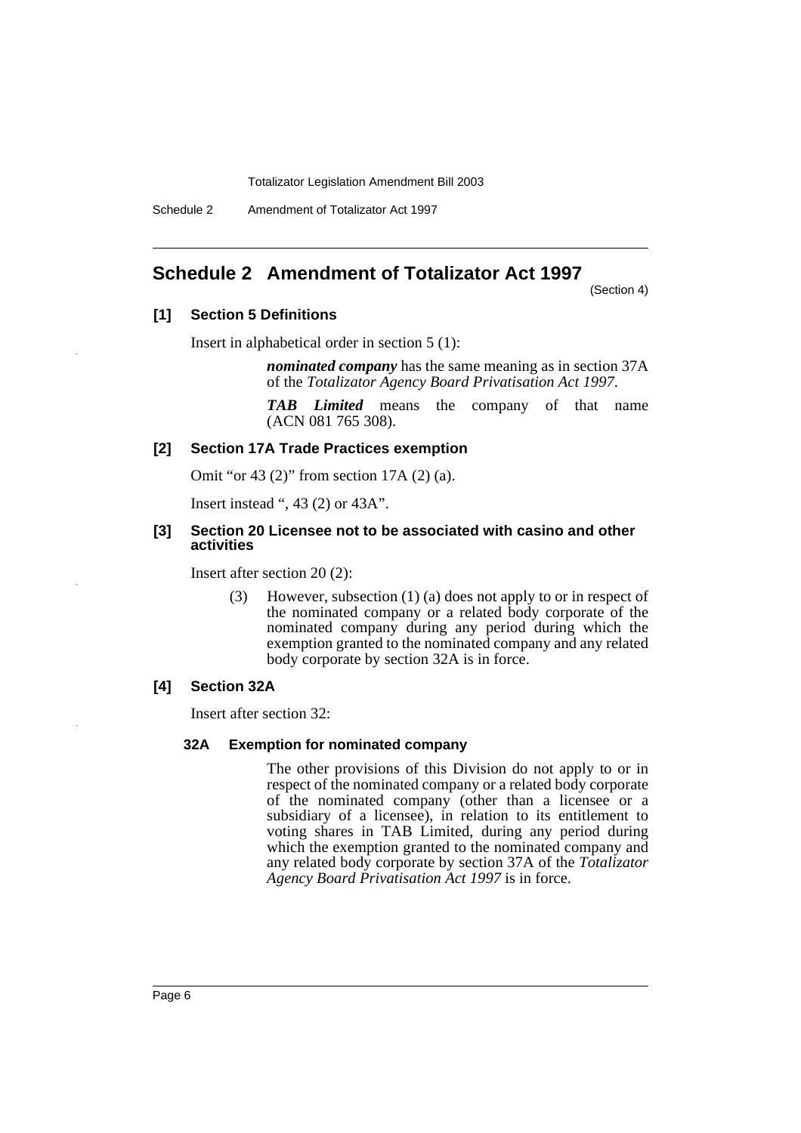Schedule 2 Amendment of Totalizator Act 1997

# **Schedule 2 Amendment of Totalizator Act 1997**

(Section 4)

## **[1] Section 5 Definitions**

Insert in alphabetical order in section 5 (1):

*nominated company* has the same meaning as in section 37A of the *Totalizator Agency Board Privatisation Act 1997*.

*TAB Limited* means the company of that name (ACN 081 765 308).

# **[2] Section 17A Trade Practices exemption**

Omit "or 43 (2)" from section 17A (2) (a).

Insert instead ", 43 (2) or 43A".

### **[3] Section 20 Licensee not to be associated with casino and other activities**

Insert after section 20 (2):

(3) However, subsection (1) (a) does not apply to or in respect of the nominated company or a related body corporate of the nominated company during any period during which the exemption granted to the nominated company and any related body corporate by section 32A is in force.

## **[4] Section 32A**

Insert after section 32:

## **32A Exemption for nominated company**

The other provisions of this Division do not apply to or in respect of the nominated company or a related body corporate of the nominated company (other than a licensee or a subsidiary of a licensee), in relation to its entitlement to voting shares in TAB Limited, during any period during which the exemption granted to the nominated company and any related body corporate by section 37A of the *Totalizator Agency Board Privatisation Act 1997* is in force.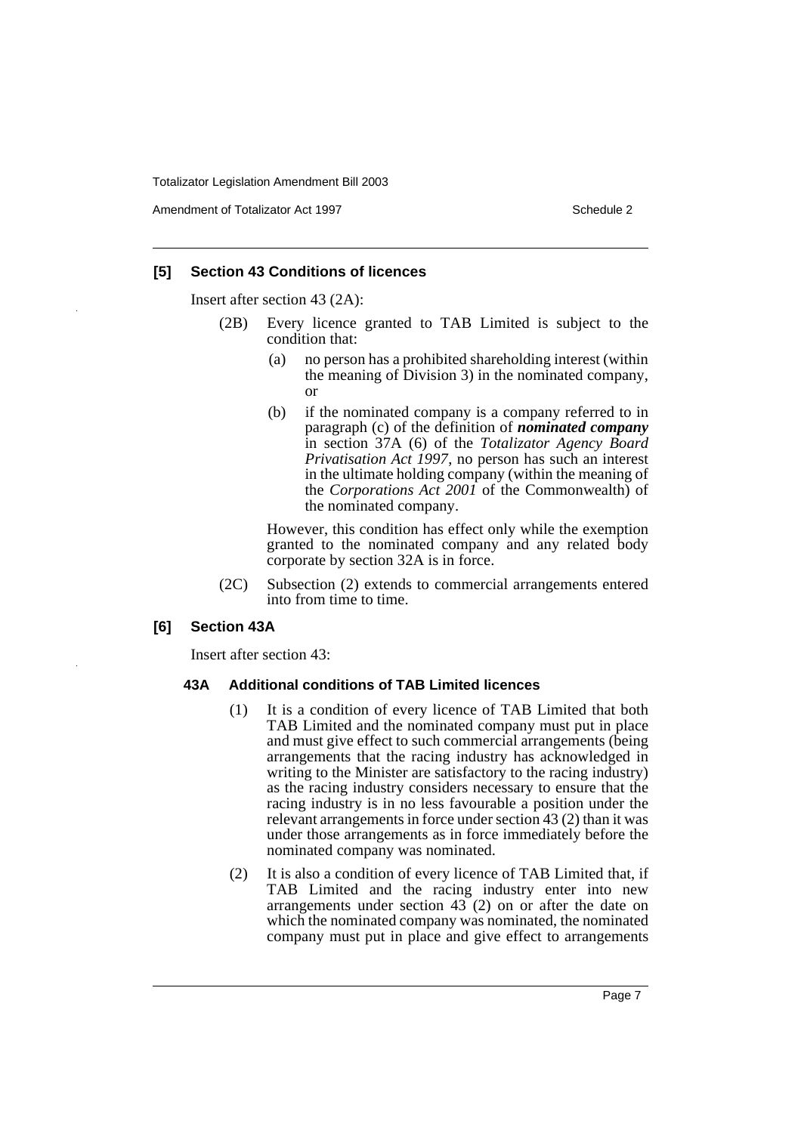Amendment of Totalizator Act 1997 Schedule 2

## **[5] Section 43 Conditions of licences**

Insert after section 43 (2A):

- (2B) Every licence granted to TAB Limited is subject to the condition that:
	- (a) no person has a prohibited shareholding interest (within the meaning of Division 3) in the nominated company, or
	- (b) if the nominated company is a company referred to in paragraph (c) of the definition of *nominated company* in section 37A (6) of the *Totalizator Agency Board Privatisation Act 1997*, no person has such an interest in the ultimate holding company (within the meaning of the *Corporations Act 2001* of the Commonwealth) of the nominated company.

However, this condition has effect only while the exemption granted to the nominated company and any related body corporate by section 32A is in force.

(2C) Subsection (2) extends to commercial arrangements entered into from time to time.

### **[6] Section 43A**

Insert after section 43:

### **43A Additional conditions of TAB Limited licences**

- (1) It is a condition of every licence of TAB Limited that both TAB Limited and the nominated company must put in place and must give effect to such commercial arrangements (being arrangements that the racing industry has acknowledged in writing to the Minister are satisfactory to the racing industry) as the racing industry considers necessary to ensure that the racing industry is in no less favourable a position under the relevant arrangements in force under section 43 (2) than it was under those arrangements as in force immediately before the nominated company was nominated.
- (2) It is also a condition of every licence of TAB Limited that, if TAB Limited and the racing industry enter into new arrangements under section  $43(2)$  on or after the date on which the nominated company was nominated, the nominated company must put in place and give effect to arrangements